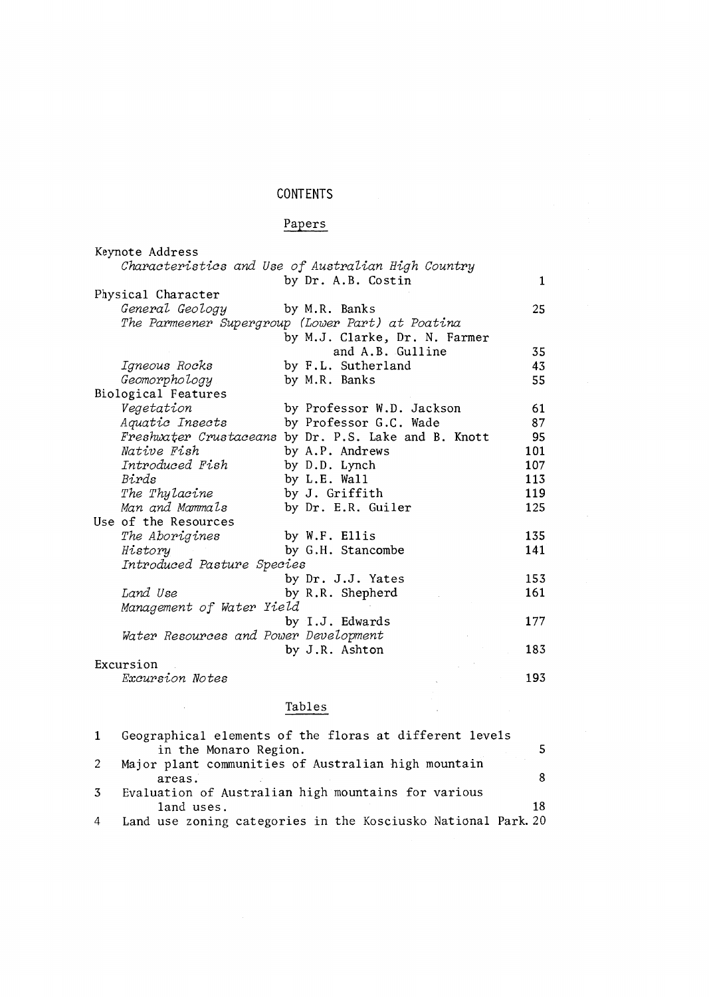# CONTENTS

# Papers

| Keynote Address                       |  |                                                      |              |
|---------------------------------------|--|------------------------------------------------------|--------------|
|                                       |  | Characteristics and Use of Australian High Country   |              |
|                                       |  | by Dr. A.B. Costin                                   | $\mathbf{1}$ |
| Physical Character                    |  |                                                      |              |
| General Geology                       |  | by M.R. Banks                                        | 25           |
|                                       |  | The Parmeener Supergroup (Lower Part) at Poatina     |              |
|                                       |  | by M.J. Clarke, Dr. N. Farmer                        |              |
|                                       |  | and A.B. Gulline                                     | 35           |
| Igneous Rocks                         |  | by F.L. Sutherland                                   | 43           |
| Geomorphology                         |  | by M.R. Banks                                        | 55           |
| Biological Features                   |  |                                                      |              |
| Vegetation                            |  | by Professor W.D. Jackson                            | 61           |
| Aquatic Insects                       |  | by Professor G.C. Wade                               | 87           |
|                                       |  | Freshwater Crustaceans by Dr. P.S. Lake and B. Knott | 95           |
| Native Fish                           |  | by A.P. Andrews                                      | 101          |
| Introduced Fish                       |  | by D.D. Lynch                                        | 107          |
| Birds                                 |  | by L.E. Wall                                         | 113          |
| The Thylacine                         |  | by J. Griffith                                       | 119          |
| Man and Mammals                       |  | by Dr. E.R. Guiler                                   | 125          |
| Use of the Resources                  |  |                                                      |              |
| The Aborigines                        |  | by W.F. Ellis                                        | 135          |
| History                               |  | by G.H. Stancombe                                    | 141          |
| Introduced Pasture Species            |  |                                                      |              |
|                                       |  | by Dr. J.J. Yates                                    | 153          |
| Land Use                              |  | by R.R. Shepherd                                     | 161          |
| Management of Water Yield             |  |                                                      |              |
|                                       |  | by I.J. Edwards                                      | 177          |
| Water Resources and Power Development |  |                                                      |              |
|                                       |  | by J.R. Ashton                                       | 183          |
| Excursion                             |  |                                                      |              |
| Excursion Notes                       |  |                                                      | 193          |

### Tables

 $\mathcal{L}^{(1)}$ 

 $\sim 10^{-10}$ 

| $\mathbf{1}$ | Geographical elements of the floras at different levels       |    |
|--------------|---------------------------------------------------------------|----|
|              | in the Monaro Region.                                         |    |
|              | Major plant communities of Australian high mountain           |    |
|              | areas.                                                        |    |
| 3            | Evaluation of Australian high mountains for various           |    |
|              | land uses.                                                    | 18 |
| 4            | Land use zoning categories in the Kosciusko National Park. 20 |    |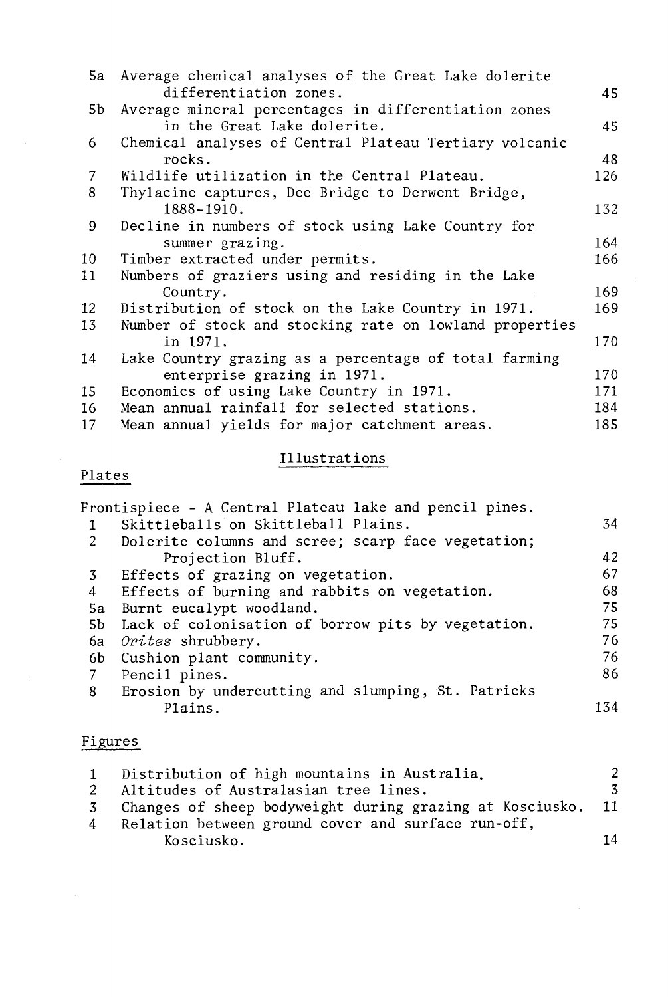| 5а              | Average chemical analyses of the Great Lake dolerite    |     |
|-----------------|---------------------------------------------------------|-----|
|                 | differentiation zones.                                  | 45  |
| 5b              | Average mineral percentages in differentiation zones    |     |
|                 | in the Great Lake dolerite.                             | 45  |
| 6.              | Chemical analyses of Central Plateau Tertiary volcanic  |     |
|                 | rocks.                                                  | 48  |
| 7               | Wildlife utilization in the Central Plateau.            | 126 |
| 8               | Thylacine captures, Dee Bridge to Derwent Bridge,       |     |
|                 | $1888 - 1910.$                                          | 132 |
| 9               | Decline in numbers of stock using Lake Country for      |     |
|                 | summer grazing.                                         | 164 |
| 10 <sup>°</sup> | Timber extracted under permits.                         | 166 |
| 11              | Numbers of graziers using and residing in the Lake      |     |
|                 | Country.                                                | 169 |
| 12              | Distribution of stock on the Lake Country in 1971.      | 169 |
| 13              | Number of stock and stocking rate on lowland properties |     |
|                 | in 1971.                                                | 170 |
| 14              | Lake Country grazing as a percentage of total farming   |     |
|                 | enterprise grazing in 1971.                             | 170 |
| 15              | Economics of using Lake Country in 1971.                | 171 |
| 16              | Mean annual rainfall for selected stations.             | 184 |
| 17              | Mean annual yields for major catchment areas.           | 185 |
|                 |                                                         |     |

### Illustrations

### Plates

|    | Frontispiece - A Central Plateau lake and pencil pines. |      |
|----|---------------------------------------------------------|------|
|    | Skittleballs on Skittleball Plains.                     | 34   |
| 2  | Dolerite columns and scree; scarp face vegetation;      |      |
|    | Projection Bluff.                                       | 42   |
| 3  | Effects of grazing on vegetation.                       | 67   |
| 4  | Effects of burning and rabbits on vegetation.           | 68   |
| 5a | Burnt eucalypt woodland.                                | 75   |
| 5b | Lack of colonisation of borrow pits by vegetation.      | 75.  |
| 6a | Orites shrubbery.                                       | 76   |
| 6b | Cushion plant community.                                | 76   |
| 7  | Pencil pines.                                           | 86   |
| 8  | Erosion by undercutting and slumping, St. Patricks      |      |
|    | Plains.                                                 | 134. |
|    |                                                         |      |

# Figures

|   | Distribution of high mountains in Australia.                  | $\mathcal{P}$ |
|---|---------------------------------------------------------------|---------------|
|   | 2 Altitudes of Australasian tree lines.                       |               |
|   | 3 Changes of sheep bodyweight during grazing at Kosciusko. 11 |               |
| 4 | Relation between ground cover and surface run-off,            |               |
|   | Kosciusko.                                                    | 14.           |